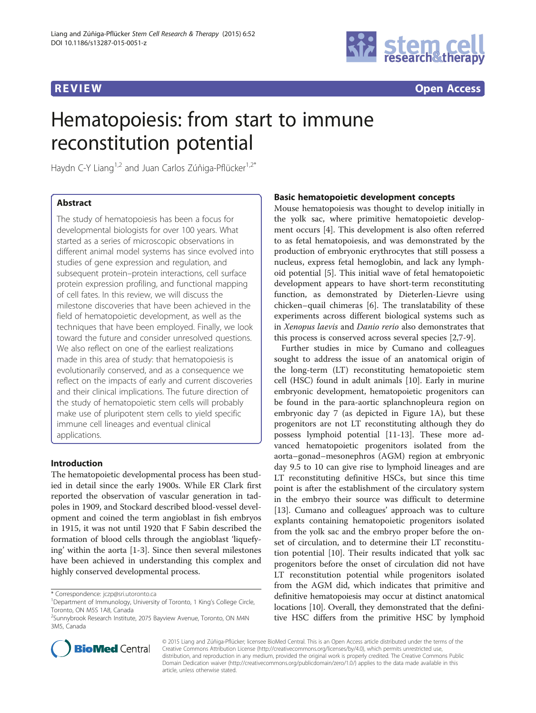

**REVIEW CONSTRUCTION CONSTRUCTION CONSTRUCTS** 

# Hematopoiesis: from start to immune reconstitution potential

Haydn C-Y Liang<sup>1,2</sup> and Juan Carlos Zúñiga-Pflücker<sup>1,2\*</sup>

# Abstract

The study of hematopoiesis has been a focus for developmental biologists for over 100 years. What started as a series of microscopic observations in different animal model systems has since evolved into studies of gene expression and regulation, and subsequent protein–protein interactions, cell surface protein expression profiling, and functional mapping of cell fates. In this review, we will discuss the milestone discoveries that have been achieved in the field of hematopoietic development, as well as the techniques that have been employed. Finally, we look toward the future and consider unresolved questions. We also reflect on one of the earliest realizations made in this area of study: that hematopoiesis is evolutionarily conserved, and as a consequence we reflect on the impacts of early and current discoveries and their clinical implications. The future direction of the study of hematopoietic stem cells will probably make use of pluripotent stem cells to yield specific immune cell lineages and eventual clinical applications.

# Introduction

The hematopoietic developmental process has been studied in detail since the early 1900s. While ER Clark first reported the observation of vascular generation in tadpoles in 1909, and Stockard described blood-vessel development and coined the term angioblast in fish embryos in 1915, it was not until 1920 that F Sabin described the formation of blood cells through the angioblast 'liquefying' within the aorta [\[1](#page-6-0)-[3\]](#page-6-0). Since then several milestones have been achieved in understanding this complex and highly conserved developmental process.

# Basic hematopoietic development concepts

Mouse hematopoiesis was thought to develop initially in the yolk sac, where primitive hematopoietic development occurs [\[4](#page-6-0)]. This development is also often referred to as fetal hematopoiesis, and was demonstrated by the production of embryonic erythrocytes that still possess a nucleus, express fetal hemoglobin, and lack any lymphoid potential [[5](#page-6-0)]. This initial wave of fetal hematopoietic development appears to have short-term reconstituting function, as demonstrated by Dieterlen-Lievre using chicken–quail chimeras [[6\]](#page-6-0). The translatability of these experiments across different biological systems such as in Xenopus laevis and Danio rerio also demonstrates that this process is conserved across several species [[2,7-9](#page-6-0)].

Further studies in mice by Cumano and colleagues sought to address the issue of an anatomical origin of the long-term (LT) reconstituting hematopoietic stem cell (HSC) found in adult animals [[10\]](#page-6-0). Early in murine embryonic development, hematopoietic progenitors can be found in the para-aortic splanchnopleura region on embryonic day 7 (as depicted in Figure [1A](#page-1-0)), but these progenitors are not LT reconstituting although they do possess lymphoid potential [[11-13\]](#page-6-0). These more advanced hematopoietic progenitors isolated from the aorta–gonad–mesonephros (AGM) region at embryonic day 9.5 to 10 can give rise to lymphoid lineages and are LT reconstituting definitive HSCs, but since this time point is after the establishment of the circulatory system in the embryo their source was difficult to determine [[13\]](#page-6-0). Cumano and colleagues' approach was to culture explants containing hematopoietic progenitors isolated from the yolk sac and the embryo proper before the onset of circulation, and to determine their LT reconstitution potential [[10\]](#page-6-0). Their results indicated that yolk sac progenitors before the onset of circulation did not have LT reconstitution potential while progenitors isolated from the AGM did, which indicates that primitive and definitive hematopoiesis may occur at distinct anatomical locations [[10](#page-6-0)]. Overall, they demonstrated that the definitive HSC differs from the primitive HSC by lymphoid



© 2015 Liang and Zúñiga-Pflücker; licensee BioMed Central. This is an Open Access article distributed under the terms of the Creative Commons Attribution License (<http://creativecommons.org/licenses/by/4.0>), which permits unrestricted use, distribution, and reproduction in any medium, provided the original work is properly credited. The Creative Commons Public Domain Dedication waiver [\(http://creativecommons.org/publicdomain/zero/1.0/\)](http://creativecommons.org/publicdomain/zero/1.0/) applies to the data made available in this article, unless otherwise stated.

<sup>\*</sup> Correspondence: [jczp@sri.utoronto.ca](mailto:jczp@sri.utoronto.ca) <sup>1</sup>

Department of Immunology, University of Toronto, 1 King's College Circle, Toronto, ON M5S 1A8, Canada

<sup>2</sup> Sunnybrook Research Institute, 2075 Bayview Avenue, Toronto, ON M4N 3M5, Canada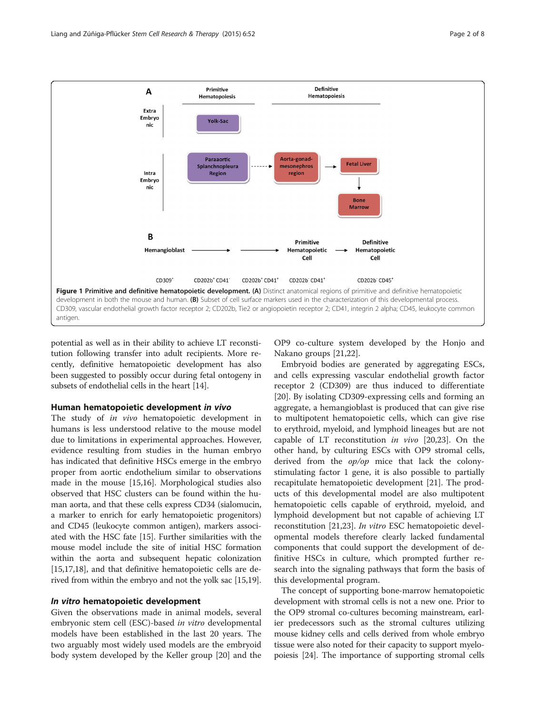<span id="page-1-0"></span>

potential as well as in their ability to achieve LT reconstitution following transfer into adult recipients. More recently, definitive hematopoietic development has also been suggested to possibly occur during fetal ontogeny in subsets of endothelial cells in the heart [\[14\]](#page-6-0).

#### Human hematopoietic development in vivo

The study of in vivo hematopoietic development in humans is less understood relative to the mouse model due to limitations in experimental approaches. However, evidence resulting from studies in the human embryo has indicated that definitive HSCs emerge in the embryo proper from aortic endothelium similar to observations made in the mouse [[15,16\]](#page-6-0). Morphological studies also observed that HSC clusters can be found within the human aorta, and that these cells express CD34 (sialomucin, a marker to enrich for early hematopoietic progenitors) and CD45 (leukocyte common antigen), markers associated with the HSC fate [\[15\]](#page-6-0). Further similarities with the mouse model include the site of initial HSC formation within the aorta and subsequent hepatic colonization [[15,17,18\]](#page-6-0), and that definitive hematopoietic cells are derived from within the embryo and not the yolk sac [[15,19](#page-6-0)].

# In vitro hematopoietic development

Given the observations made in animal models, several embryonic stem cell (ESC)-based in vitro developmental models have been established in the last 20 years. The two arguably most widely used models are the embryoid body system developed by the Keller group [[20\]](#page-6-0) and the

OP9 co-culture system developed by the Honjo and Nakano groups [\[21](#page-6-0)[,22](#page-7-0)].

Embryoid bodies are generated by aggregating ESCs, and cells expressing vascular endothelial growth factor receptor 2 (CD309) are thus induced to differentiate [[20\]](#page-6-0). By isolating CD309-expressing cells and forming an aggregate, a hemangioblast is produced that can give rise to multipotent hematopoietic cells, which can give rise to erythroid, myeloid, and lymphoid lineages but are not capable of LT reconstitution in vivo [[20,](#page-6-0)[23\]](#page-7-0). On the other hand, by culturing ESCs with OP9 stromal cells, derived from the op/op mice that lack the colonystimulating factor 1 gene, it is also possible to partially recapitulate hematopoietic development [\[21](#page-6-0)]. The products of this developmental model are also multipotent hematopoietic cells capable of erythroid, myeloid, and lymphoid development but not capable of achieving LT reconstitution [\[21](#page-6-0)[,23](#page-7-0)]. In vitro ESC hematopoietic developmental models therefore clearly lacked fundamental components that could support the development of definitive HSCs in culture, which prompted further research into the signaling pathways that form the basis of this developmental program.

The concept of supporting bone-marrow hematopoietic development with stromal cells is not a new one. Prior to the OP9 stromal co-cultures becoming mainstream, earlier predecessors such as the stromal cultures utilizing mouse kidney cells and cells derived from whole embryo tissue were also noted for their capacity to support myelopoiesis [[24](#page-7-0)]. The importance of supporting stromal cells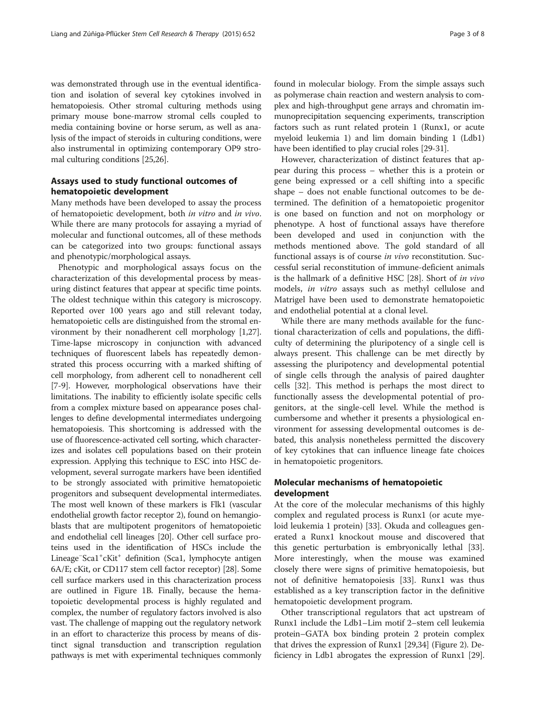was demonstrated through use in the eventual identification and isolation of several key cytokines involved in hematopoiesis. Other stromal culturing methods using primary mouse bone-marrow stromal cells coupled to media containing bovine or horse serum, as well as analysis of the impact of steroids in culturing conditions, were also instrumental in optimizing contemporary OP9 stromal culturing conditions [[25,26](#page-7-0)].

# Assays used to study functional outcomes of hematopoietic development

Many methods have been developed to assay the process of hematopoietic development, both in vitro and in vivo. While there are many protocols for assaying a myriad of molecular and functional outcomes, all of these methods can be categorized into two groups: functional assays and phenotypic/morphological assays.

Phenotypic and morphological assays focus on the characterization of this developmental process by measuring distinct features that appear at specific time points. The oldest technique within this category is microscopy. Reported over 100 years ago and still relevant today, hematopoietic cells are distinguished from the stromal environment by their nonadherent cell morphology [[1,](#page-6-0)[27](#page-7-0)]. Time-lapse microscopy in conjunction with advanced techniques of fluorescent labels has repeatedly demonstrated this process occurring with a marked shifting of cell morphology, from adherent cell to nonadherent cell [[7-9\]](#page-6-0). However, morphological observations have their limitations. The inability to efficiently isolate specific cells from a complex mixture based on appearance poses challenges to define developmental intermediates undergoing hematopoiesis. This shortcoming is addressed with the use of fluorescence-activated cell sorting, which characterizes and isolates cell populations based on their protein expression. Applying this technique to ESC into HSC development, several surrogate markers have been identified to be strongly associated with primitive hematopoietic progenitors and subsequent developmental intermediates. The most well known of these markers is Flk1 (vascular endothelial growth factor receptor 2), found on hemangioblasts that are multipotent progenitors of hematopoietic and endothelial cell lineages [\[20\]](#page-6-0). Other cell surface proteins used in the identification of HSCs include the Lineage<sup>−</sup> Sca1+ cKit+ definition (Sca1, lymphocyte antigen 6A/E; cKit, or CD117 stem cell factor receptor) [[28](#page-7-0)]. Some cell surface markers used in this characterization process are outlined in Figure [1](#page-1-0)B. Finally, because the hematopoietic developmental process is highly regulated and complex, the number of regulatory factors involved is also vast. The challenge of mapping out the regulatory network in an effort to characterize this process by means of distinct signal transduction and transcription regulation pathways is met with experimental techniques commonly found in molecular biology. From the simple assays such as polymerase chain reaction and western analysis to complex and high-throughput gene arrays and chromatin immunoprecipitation sequencing experiments, transcription factors such as runt related protein 1 (Runx1, or acute myeloid leukemia 1) and lim domain binding 1 (Ldb1) have been identified to play crucial roles [\[29-31\]](#page-7-0).

However, characterization of distinct features that appear during this process – whether this is a protein or gene being expressed or a cell shifting into a specific shape – does not enable functional outcomes to be determined. The definition of a hematopoietic progenitor is one based on function and not on morphology or phenotype. A host of functional assays have therefore been developed and used in conjunction with the methods mentioned above. The gold standard of all functional assays is of course in vivo reconstitution. Successful serial reconstitution of immune-deficient animals is the hallmark of a definitive HSC [[28](#page-7-0)]. Short of in vivo models, in vitro assays such as methyl cellulose and Matrigel have been used to demonstrate hematopoietic and endothelial potential at a clonal level.

While there are many methods available for the functional characterization of cells and populations, the difficulty of determining the pluripotency of a single cell is always present. This challenge can be met directly by assessing the pluripotency and developmental potential of single cells through the analysis of paired daughter cells [[32](#page-7-0)]. This method is perhaps the most direct to functionally assess the developmental potential of progenitors, at the single-cell level. While the method is cumbersome and whether it presents a physiological environment for assessing developmental outcomes is debated, this analysis nonetheless permitted the discovery of key cytokines that can influence lineage fate choices in hematopoietic progenitors.

# Molecular mechanisms of hematopoietic development

At the core of the molecular mechanisms of this highly complex and regulated process is Runx1 (or acute myeloid leukemia 1 protein) [\[33](#page-7-0)]. Okuda and colleagues generated a Runx1 knockout mouse and discovered that this genetic perturbation is embryonically lethal [\[33](#page-7-0)]. More interestingly, when the mouse was examined closely there were signs of primitive hematopoiesis, but not of definitive hematopoiesis [\[33](#page-7-0)]. Runx1 was thus established as a key transcription factor in the definitive hematopoietic development program.

Other transcriptional regulators that act upstream of Runx1 include the Ldb1–Lim motif 2–stem cell leukemia protein–GATA box binding protein 2 protein complex that drives the expression of Runx1 [[29,34\]](#page-7-0) (Figure [2\)](#page-3-0). Deficiency in Ldb1 abrogates the expression of Runx1 [[29](#page-7-0)].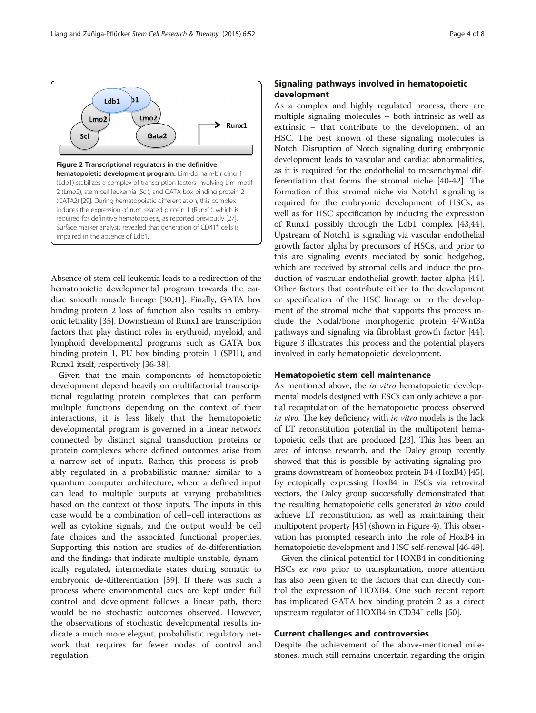<span id="page-3-0"></span>

Absence of stem cell leukemia leads to a redirection of the hematopoietic developmental program towards the cardiac smooth muscle lineage [[30,31\]](#page-7-0). Finally, GATA box binding protein 2 loss of function also results in embryonic lethality [[35](#page-7-0)]. Downstream of Runx1 are transcription factors that play distinct roles in erythroid, myeloid, and lymphoid developmental programs such as GATA box binding protein 1, PU box binding protein 1 (SPI1), and Runx1 itself, respectively [\[36-38\]](#page-7-0).

Given that the main components of hematopoietic development depend heavily on multifactorial transcriptional regulating protein complexes that can perform multiple functions depending on the context of their interactions, it is less likely that the hematopoietic developmental program is governed in a linear network connected by distinct signal transduction proteins or protein complexes where defined outcomes arise from a narrow set of inputs. Rather, this process is probably regulated in a probabilistic manner similar to a quantum computer architecture, where a defined input can lead to multiple outputs at varying probabilities based on the context of those inputs. The inputs in this case would be a combination of cell–cell interactions as well as cytokine signals, and the output would be cell fate choices and the associated functional properties. Supporting this notion are studies of de-differentiation and the findings that indicate multiple unstable, dynamically regulated, intermediate states during somatic to embryonic de-differentiation [\[39](#page-7-0)]. If there was such a process where environmental cues are kept under full control and development follows a linear path, there would be no stochastic outcomes observed. However, the observations of stochastic developmental results indicate a much more elegant, probabilistic regulatory network that requires far fewer nodes of control and regulation.

# Signaling pathways involved in hematopoietic development

As a complex and highly regulated process, there are multiple signaling molecules – both intrinsic as well as extrinsic – that contribute to the development of an HSC. The best known of these signaling molecules is Notch. Disruption of Notch signaling during embryonic development leads to vascular and cardiac abnormalities, as it is required for the endothelial to mesenchymal differentiation that forms the stromal niche [\[40-42](#page-7-0)]. The formation of this stromal niche via Notch1 signaling is required for the embryonic development of HSCs, as well as for HSC specification by inducing the expression of Runx1 possibly through the Ldb1 complex [\[43,44](#page-7-0)]. Upstream of Notch1 is signaling via vascular endothelial growth factor alpha by precursors of HSCs, and prior to this are signaling events mediated by sonic hedgehog, which are received by stromal cells and induce the production of vascular endothelial growth factor alpha [\[44](#page-7-0)]. Other factors that contribute either to the development or specification of the HSC lineage or to the development of the stromal niche that supports this process include the Nodal/bone morphogenic protein 4/Wnt3a pathways and signaling via fibroblast growth factor [\[44](#page-7-0)]. Figure [3](#page-4-0) illustrates this process and the potential players involved in early hematopoietic development.

# Hematopoietic stem cell maintenance

As mentioned above, the in vitro hematopoietic developmental models designed with ESCs can only achieve a partial recapitulation of the hematopoietic process observed in vivo. The key deficiency with in vitro models is the lack of LT reconstitution potential in the multipotent hematopoietic cells that are produced [\[23\]](#page-7-0). This has been an area of intense research, and the Daley group recently showed that this is possible by activating signaling programs downstream of homeobox protein B4 (HoxB4) [[45](#page-7-0)]. By ectopically expressing HoxB4 in ESCs via retroviral vectors, the Daley group successfully demonstrated that the resulting hematopoietic cells generated *in vitro* could achieve LT reconstitution, as well as maintaining their multipotent property [[45](#page-7-0)] (shown in Figure [4](#page-4-0)). This observation has prompted research into the role of HoxB4 in hematopoietic development and HSC self-renewal [[46](#page-7-0)-[49](#page-7-0)].

Given the clinical potential for HOXB4 in conditioning HSCs ex vivo prior to transplantation, more attention has also been given to the factors that can directly control the expression of HOXB4. One such recent report has implicated GATA box binding protein 2 as a direct upstream regulator of  $HOXB4$  in  $CD34^+$  cells [[50\]](#page-7-0).

# Current challenges and controversies

Despite the achievement of the above-mentioned milestones, much still remains uncertain regarding the origin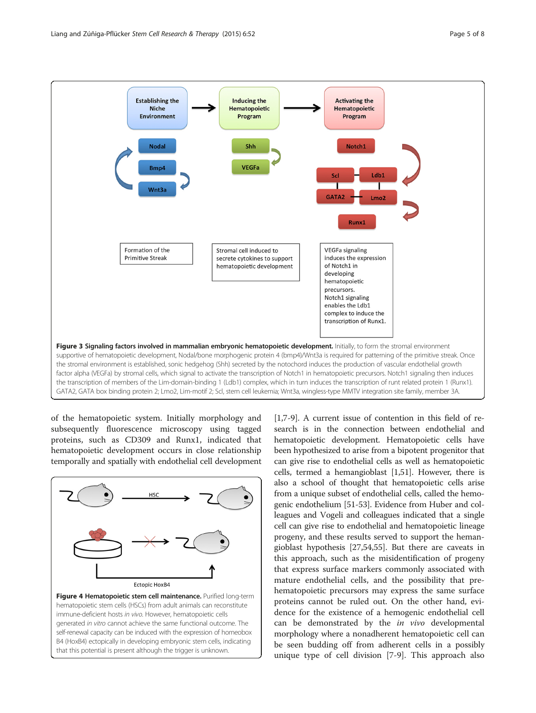<span id="page-4-0"></span>

of the hematopoietic system. Initially morphology and subsequently fluorescence microscopy using tagged proteins, such as CD309 and Runx1, indicated that hematopoietic development occurs in close relationship temporally and spatially with endothelial cell development



that this potential is present although the trigger is unknown.

[[1,7-9\]](#page-6-0). A current issue of contention in this field of research is in the connection between endothelial and hematopoietic development. Hematopoietic cells have been hypothesized to arise from a bipotent progenitor that can give rise to endothelial cells as well as hematopoietic cells, termed a hemangioblast [\[1,](#page-6-0)[51\]](#page-7-0). However, there is also a school of thought that hematopoietic cells arise from a unique subset of endothelial cells, called the hemogenic endothelium [\[51-53](#page-7-0)]. Evidence from Huber and colleagues and Vogeli and colleagues indicated that a single cell can give rise to endothelial and hematopoietic lineage progeny, and these results served to support the hemangioblast hypothesis [[27](#page-7-0),[54,55](#page-7-0)]. But there are caveats in this approach, such as the misidentification of progeny that express surface markers commonly associated with mature endothelial cells, and the possibility that prehematopoietic precursors may express the same surface proteins cannot be ruled out. On the other hand, evidence for the existence of a hemogenic endothelial cell can be demonstrated by the in vivo developmental morphology where a nonadherent hematopoietic cell can be seen budding off from adherent cells in a possibly unique type of cell division [[7-9](#page-6-0)]. This approach also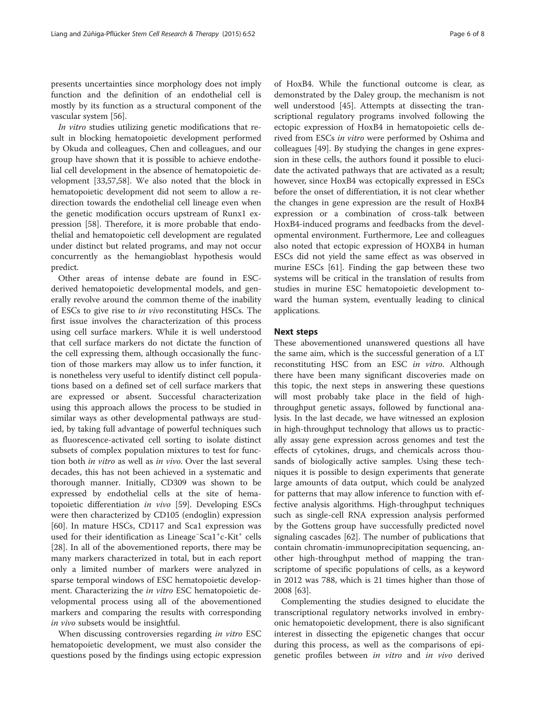presents uncertainties since morphology does not imply function and the definition of an endothelial cell is mostly by its function as a structural component of the vascular system [[56\]](#page-7-0).

In vitro studies utilizing genetic modifications that result in blocking hematopoietic development performed by Okuda and colleagues, Chen and colleagues, and our group have shown that it is possible to achieve endothelial cell development in the absence of hematopoietic development [\[33,57,58](#page-7-0)]. We also noted that the block in hematopoietic development did not seem to allow a redirection towards the endothelial cell lineage even when the genetic modification occurs upstream of Runx1 expression [[58](#page-7-0)]. Therefore, it is more probable that endothelial and hematopoietic cell development are regulated under distinct but related programs, and may not occur concurrently as the hemangioblast hypothesis would predict.

Other areas of intense debate are found in ESCderived hematopoietic developmental models, and generally revolve around the common theme of the inability of ESCs to give rise to in vivo reconstituting HSCs. The first issue involves the characterization of this process using cell surface markers. While it is well understood that cell surface markers do not dictate the function of the cell expressing them, although occasionally the function of those markers may allow us to infer function, it is nonetheless very useful to identify distinct cell populations based on a defined set of cell surface markers that are expressed or absent. Successful characterization using this approach allows the process to be studied in similar ways as other developmental pathways are studied, by taking full advantage of powerful techniques such as fluorescence-activated cell sorting to isolate distinct subsets of complex population mixtures to test for function both in vitro as well as in vivo. Over the last several decades, this has not been achieved in a systematic and thorough manner. Initially, CD309 was shown to be expressed by endothelial cells at the site of hematopoietic differentiation in vivo [\[59\]](#page-7-0). Developing ESCs were then characterized by CD105 (endoglin) expression [[60\]](#page-7-0). In mature HSCs, CD117 and Sca1 expression was used for their identification as Lineage<sup>-</sup>Sca1<sup>+</sup>c-Kit<sup>+</sup> cells [[28\]](#page-7-0). In all of the abovementioned reports, there may be many markers characterized in total, but in each report only a limited number of markers were analyzed in sparse temporal windows of ESC hematopoietic development. Characterizing the *in vitro* ESC hematopoietic developmental process using all of the abovementioned markers and comparing the results with corresponding in vivo subsets would be insightful.

When discussing controversies regarding in vitro ESC hematopoietic development, we must also consider the questions posed by the findings using ectopic expression

of HoxB4. While the functional outcome is clear, as demonstrated by the Daley group, the mechanism is not well understood [\[45](#page-7-0)]. Attempts at dissecting the transcriptional regulatory programs involved following the ectopic expression of HoxB4 in hematopoietic cells derived from ESCs in vitro were performed by Oshima and colleagues [[49\]](#page-7-0). By studying the changes in gene expression in these cells, the authors found it possible to elucidate the activated pathways that are activated as a result; however, since HoxB4 was ectopically expressed in ESCs before the onset of differentiation, it is not clear whether the changes in gene expression are the result of HoxB4 expression or a combination of cross-talk between HoxB4-induced programs and feedbacks from the developmental environment. Furthermore, Lee and colleagues also noted that ectopic expression of HOXB4 in human ESCs did not yield the same effect as was observed in murine ESCs [[61\]](#page-7-0). Finding the gap between these two systems will be critical in the translation of results from studies in murine ESC hematopoietic development toward the human system, eventually leading to clinical applications.

### Next steps

These abovementioned unanswered questions all have the same aim, which is the successful generation of a LT reconstituting HSC from an ESC in vitro. Although there have been many significant discoveries made on this topic, the next steps in answering these questions will most probably take place in the field of highthroughput genetic assays, followed by functional analysis. In the last decade, we have witnessed an explosion in high-throughput technology that allows us to practically assay gene expression across genomes and test the effects of cytokines, drugs, and chemicals across thousands of biologically active samples. Using these techniques it is possible to design experiments that generate large amounts of data output, which could be analyzed for patterns that may allow inference to function with effective analysis algorithms. High-throughput techniques such as single-cell RNA expression analysis performed by the Gottens group have successfully predicted novel signaling cascades [\[62](#page-7-0)]. The number of publications that contain chromatin-immunoprecipitation sequencing, another high-throughput method of mapping the transcriptome of specific populations of cells, as a keyword in 2012 was 788, which is 21 times higher than those of 2008 [\[63](#page-7-0)].

Complementing the studies designed to elucidate the transcriptional regulatory networks involved in embryonic hematopoietic development, there is also significant interest in dissecting the epigenetic changes that occur during this process, as well as the comparisons of epigenetic profiles between in vitro and in vivo derived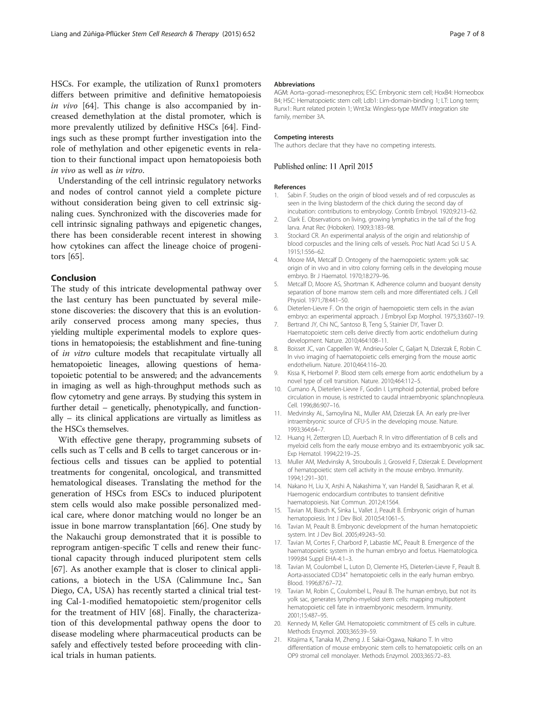<span id="page-6-0"></span>HSCs. For example, the utilization of Runx1 promoters differs between primitive and definitive hematopoiesis in vivo [[64\]](#page-7-0). This change is also accompanied by increased demethylation at the distal promoter, which is more prevalently utilized by definitive HSCs [[64](#page-7-0)]. Findings such as these prompt further investigation into the role of methylation and other epigenetic events in relation to their functional impact upon hematopoiesis both in vivo as well as in vitro.

Understanding of the cell intrinsic regulatory networks and nodes of control cannot yield a complete picture without consideration being given to cell extrinsic signaling cues. Synchronized with the discoveries made for cell intrinsic signaling pathways and epigenetic changes, there has been considerable recent interest in showing how cytokines can affect the lineage choice of progenitors [[65](#page-7-0)].

#### Conclusion

The study of this intricate developmental pathway over the last century has been punctuated by several milestone discoveries: the discovery that this is an evolutionarily conserved process among many species, thus yielding multiple experimental models to explore questions in hematopoiesis; the establishment and fine-tuning of in vitro culture models that recapitulate virtually all hematopoietic lineages, allowing questions of hematopoietic potential to be answered; and the advancements in imaging as well as high-throughput methods such as flow cytometry and gene arrays. By studying this system in further detail – genetically, phenotypically, and functionally – its clinical applications are virtually as limitless as the HSCs themselves.

With effective gene therapy, programming subsets of cells such as T cells and B cells to target cancerous or infectious cells and tissues can be applied to potential treatments for congenital, oncological, and transmitted hematological diseases. Translating the method for the generation of HSCs from ESCs to induced pluripotent stem cells would also make possible personalized medical care, where donor matching would no longer be an issue in bone marrow transplantation [\[66\]](#page-7-0). One study by the Nakauchi group demonstrated that it is possible to reprogram antigen-specific T cells and renew their functional capacity through induced pluripotent stem cells [[67\]](#page-7-0). As another example that is closer to clinical applications, a biotech in the USA (Calimmune Inc., San Diego, CA, USA) has recently started a clinical trial testing Cal-1-modified hematopoietic stem/progenitor cells for the treatment of HIV [\[68\]](#page-7-0). Finally, the characterization of this developmental pathway opens the door to disease modeling where pharmaceutical products can be safely and effectively tested before proceeding with clinical trials in human patients.

#### **Abbreviations**

AGM: Aorta–gonad–mesonephros; ESC: Embryonic stem cell; HoxB4: Homeobox B4; HSC: Hematopoietic stem cell; Ldb1: Lim-domain-binding 1; LT: Long term; Runx1: Runt related protein 1; Wnt3a: Wingless-type MMTV integration site family, member 3A.

#### Competing interests

The authors declare that they have no competing interests.

### Published online: 11 April 2015

#### References

- 1. Sabin F. Studies on the origin of blood vessels and of red corpuscules as seen in the living blastoderm of the chick during the second day of incubation: contributions to embryology. Contrib Embryol. 1920;9:213–62.
- 2. Clark E. Observations on living, growing lymphatics in the tail of the frog larva. Anat Rec (Hoboken). 1909;3:183–98.
- 3. Stockard CR. An experimental analysis of the origin and relationship of blood corpuscles and the lining cells of vessels. Proc Natl Acad Sci U S A. 1915;1:556–62.
- 4. Moore MA, Metcalf D. Ontogeny of the haemopoietic system: yolk sac origin of in vivo and in vitro colony forming cells in the developing mouse embryo. Br J Haematol. 1970;18:279–96.
- 5. Metcalf D, Moore AS, Shortman K. Adherence column and buoyant density separation of bone marrow stem cells and more differentiated cells. J Cell Physiol. 1971;78:441–50.
- 6. Dieterlen-Lievre F. On the origin of haemopoietic stem cells in the avian embryo: an experimental approach. J Embryol Exp Morphol. 1975;33:607–19.
- 7. Bertrand JY, Chi NC, Santoso B, Teng S, Stainier DY, Traver D. Haematopoietic stem cells derive directly from aortic endothelium during development. Nature. 2010;464:108–11.
- 8. Boisset JC, van Cappellen W, Andrieu-Soler C, Galjart N, Dzierzak E, Robin C. In vivo imaging of haematopoietic cells emerging from the mouse aortic endothelium. Nature. 2010;464:116–20.
- 9. Kissa K, Herbomel P. Blood stem cells emerge from aortic endothelium by a novel type of cell transition. Nature. 2010;464:112–5.
- 10. Cumano A, Dieterlen-Lievre F, Godin I. Lymphoid potential, probed before circulation in mouse, is restricted to caudal intraembryonic splanchnopleura. Cell. 1996;86:907–16.
- 11. Medvinsky AL, Samoylina NL, Muller AM, Dzierzak EA. An early pre-liver intraembryonic source of CFU-S in the developing mouse. Nature. 1993;364:64–7.
- 12. Huang H, Zettergren LD, Auerbach R. In vitro differentiation of B cells and myeloid cells from the early mouse embryo and its extraembryonic yolk sac. Exp Hematol. 1994;22:19–25.
- 13. Muller AM, Medvinsky A, Strouboulis J, Grosveld F, Dzierzak E. Development of hematopoietic stem cell activity in the mouse embryo. Immunity. 1994;1:291–301.
- 14. Nakano H, Liu X, Arshi A, Nakashima Y, van Handel B, Sasidharan R, et al. Haemogenic endocardium contributes to transient definitive haematopoiesis. Nat Commun. 2012;4:1564.
- 15. Tavian M, Biasch K, Sinka L, Vallet J, Peault B. Embryonic origin of human hematopoiesis. Int J Dev Biol. 2010;54:1061–5.
- 16. Tavian M, Peault B. Embryonic development of the human hematopoietic system. Int J Dev Biol. 2005;49:243–50.
- 17. Tavian M, Cortes F, Charbord P, Labastie MC, Peault B. Emergence of the haematopoietic system in the human embryo and foetus. Haematologica. 1999;84 Suppl EHA-4:1–3.
- 18. Tavian M, Coulombel L, Luton D, Clemente HS, Dieterlen-Lievre F, Peault B. Aorta-associated CD34<sup>+</sup> hematopoietic cells in the early human embryo. Blood. 1996;87:67–72.
- 19. Tavian M, Robin C, Coulombel L, Peaul B. The human embryo, but not its yolk sac, generates lympho-myeloid stem cells: mapping multipotent hematopoietic cell fate in intraembryonic mesoderm. Immunity. 2001;15:487–95.
- 20. Kennedy M, Keller GM. Hematopoietic commitment of ES cells in culture. Methods Enzymol. 2003;365:39–59.
- 21. Kitajima K, Tanaka M, Zheng J. E Sakai-Ogawa, Nakano T. In vitro differentiation of mouse embryonic stem cells to hematopoietic cells on an OP9 stromal cell monolayer. Methods Enzymol. 2003;365:72–83.